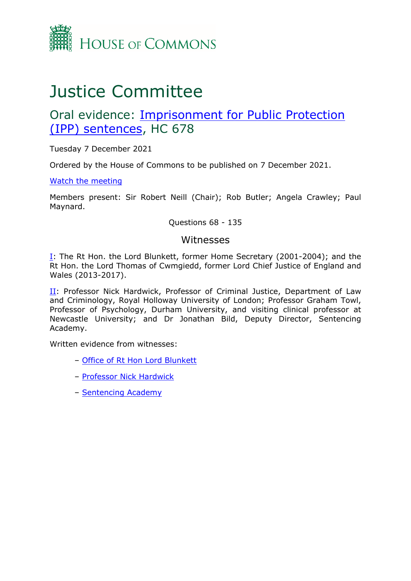

# Justice Committee

# Oral evidence: [Imprisonment](https://committees.parliament.uk/work/1509/imprisonment-for-public-protection-ipp-sentences/) [for](https://committees.parliament.uk/work/1509/imprisonment-for-public-protection-ipp-sentences/) [Public](https://committees.parliament.uk/work/1509/imprisonment-for-public-protection-ipp-sentences/) [Protection](https://committees.parliament.uk/work/1509/imprisonment-for-public-protection-ipp-sentences/) [\(IPP\)](https://committees.parliament.uk/work/1509/imprisonment-for-public-protection-ipp-sentences/) [sentences](https://committees.parliament.uk/work/1509/imprisonment-for-public-protection-ipp-sentences/), HC 678

Tuesday 7 December 2021

Ordered by the House of Commons to be published on 7 December 2021.

[Watch](https://parliamentlive.tv/Event/Index/c4bf2ffb-a307-4605-b379-51372b283368) [the](https://parliamentlive.tv/Event/Index/c4bf2ffb-a307-4605-b379-51372b283368) [meeting](https://parliamentlive.tv/Event/Index/c4bf2ffb-a307-4605-b379-51372b283368)

Members present: Sir Robert Neill (Chair); Rob Butler; Angela Crawley; Paul Maynard.

Questions 68 - 135

### Witnesses

[I:](#page-1-0) The Rt Hon. the Lord Blunkett, former Home Secretary (2001-2004); and the Rt Hon. the Lord Thomas of Cwmgiedd, former Lord Chief Justice of England and Wales (2013-2017).

[II](#page-14-0): Professor Nick Hardwick, Professor of Criminal Justice, Department of Law and Criminology, Royal Holloway University of London; Professor Graham Towl, Professor of Psychology, Durham University, and visiting clinical professor at Newcastle University; and Dr Jonathan Bild, Deputy Director, Sentencing Academy.

Written evidence from witnesses:

- [Office](https://committees.parliament.uk/writtenevidence/41000/default/) [of](https://committees.parliament.uk/writtenevidence/41000/default/) [Rt](https://committees.parliament.uk/writtenevidence/41000/default/) [Hon](https://committees.parliament.uk/writtenevidence/41000/default/) [Lord](https://committees.parliament.uk/writtenevidence/41000/default/) [Blunkett](https://committees.parliament.uk/writtenevidence/41000/default/)
- [Professor](https://committees.parliament.uk/writtenevidence/41062/pdf/) [Nick](https://committees.parliament.uk/writtenevidence/41062/pdf/) [Hardwick](https://committees.parliament.uk/writtenevidence/41062/pdf/)
- [Sentencing](https://committees.parliament.uk/writtenevidence/41010/pdf/) [Academy](https://committees.parliament.uk/writtenevidence/41010/pdf/)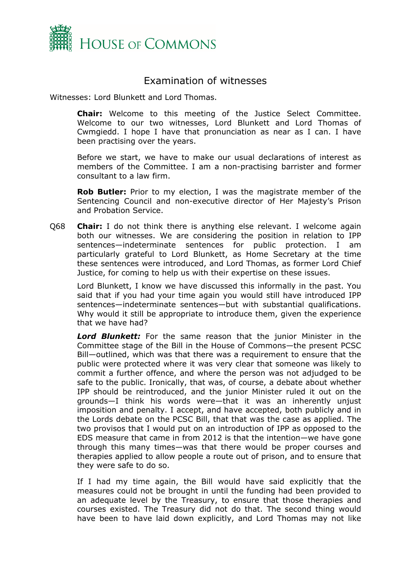

# <span id="page-1-0"></span>Examination of witnesses

Witnesses: Lord Blunkett and Lord Thomas.

**Chair:** Welcome to this meeting of the Justice Select Committee. Welcome to our two witnesses, Lord Blunkett and Lord Thomas of Cwmgiedd. I hope I have that pronunciation as near as I can. I have been practising over the years.

Before we start, we have to make our usual declarations of interest as members of the Committee. I am a non-practising barrister and former consultant to a law firm.

**Rob Butler:** Prior to my election, I was the magistrate member of the Sentencing Council and non-executive director of Her Majesty's Prison and Probation Service.

Q68 **Chair:** I do not think there is anything else relevant. I welcome again both our witnesses. We are considering the position in relation to IPP sentences—indeterminate sentences for public protection. I am particularly grateful to Lord Blunkett, as Home Secretary at the time these sentences were introduced, and Lord Thomas, as former Lord Chief Justice, for coming to help us with their expertise on these issues.

Lord Blunkett, I know we have discussed this informally in the past. You said that if you had your time again you would still have introduced IPP sentences—indeterminate sentences—but with substantial qualifications. Why would it still be appropriate to introduce them, given the experience that we have had?

*Lord Blunkett:* For the same reason that the junior Minister in the Committee stage of the Bill in the House of Commons—the present PCSC Bill—outlined, which was that there was a requirement to ensure that the public were protected where it was very clear that someone was likely to commit a further offence, and where the person was not adjudged to be safe to the public. Ironically, that was, of course, a debate about whether IPP should be reintroduced, and the junior Minister ruled it out on the grounds—I think his words were—that it was an inherently unjust imposition and penalty. I accept, and have accepted, both publicly and in the Lords debate on the PCSC Bill, that that was the case as applied. The two provisos that I would put on an introduction of IPP as opposed to the EDS measure that came in from 2012 is that the intention—we have gone through this many times—was that there would be proper courses and therapies applied to allow people a route out of prison, and to ensure that they were safe to do so.

If I had my time again, the Bill would have said explicitly that the measures could not be brought in until the funding had been provided to an adequate level by the Treasury, to ensure that those therapies and courses existed. The Treasury did not do that. The second thing would have been to have laid down explicitly, and Lord Thomas may not like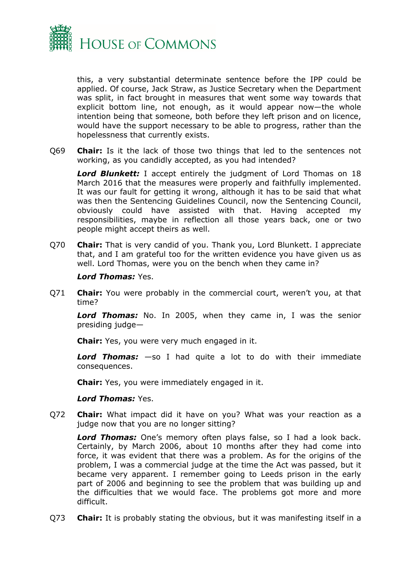

this, a very substantial determinate sentence before the IPP could be applied. Of course, Jack Straw, as Justice Secretary when the Department was split, in fact brought in measures that went some way towards that explicit bottom line, not enough, as it would appear now—the whole intention being that someone, both before they left prison and on licence, would have the support necessary to be able to progress, rather than the hopelessness that currently exists.

Q69 **Chair:** Is it the lack of those two things that led to the sentences not working, as you candidly accepted, as you had intended?

*Lord Blunkett:* I accept entirely the judgment of Lord Thomas on 18 March 2016 that the measures were properly and faithfully implemented. It was our fault for getting it wrong, although it has to be said that what was then the Sentencing Guidelines Council, now the Sentencing Council, obviously could have assisted with that. Having accepted my responsibilities, maybe in reflection all those years back, one or two people might accept theirs as well.

Q70 **Chair:** That is very candid of you. Thank you, Lord Blunkett. I appreciate that, and I am grateful too for the written evidence you have given us as well. Lord Thomas, were you on the bench when they came in?

#### *Lord Thomas:* Yes.

Q71 **Chair:** You were probably in the commercial court, weren't you, at that time?

*Lord Thomas:* No. In 2005, when they came in, I was the senior presiding judge—

**Chair:** Yes, you were very much engaged in it.

*Lord Thomas:* —so I had quite a lot to do with their immediate consequences.

**Chair:** Yes, you were immediately engaged in it.

#### *Lord Thomas:* Yes.

Q72 **Chair:** What impact did it have on you? What was your reaction as a judge now that you are no longer sitting?

*Lord Thomas:* One's memory often plays false, so I had a look back. Certainly, by March 2006, about 10 months after they had come into force, it was evident that there was a problem. As for the origins of the problem, I was a commercial judge at the time the Act was passed, but it became very apparent. I remember going to Leeds prison in the early part of 2006 and beginning to see the problem that was building up and the difficulties that we would face. The problems got more and more difficult.

Q73 **Chair:** It is probably stating the obvious, but it was manifesting itself in a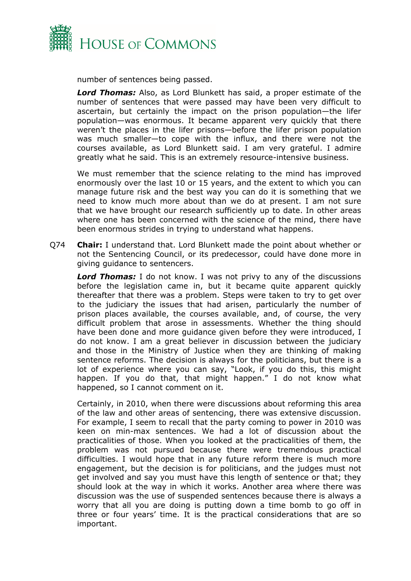

number of sentences being passed.

*Lord Thomas:* Also, as Lord Blunkett has said, a proper estimate of the number of sentences that were passed may have been very difficult to ascertain, but certainly the impact on the prison population—the lifer population—was enormous. It became apparent very quickly that there weren't the places in the lifer prisons—before the lifer prison population was much smaller—to cope with the influx, and there were not the courses available, as Lord Blunkett said. I am very grateful. I admire greatly what he said. This is an extremely resource-intensive business.

We must remember that the science relating to the mind has improved enormously over the last 10 or 15 years, and the extent to which you can manage future risk and the best way you can do it is something that we need to know much more about than we do at present. I am not sure that we have brought our research sufficiently up to date. In other areas where one has been concerned with the science of the mind, there have been enormous strides in trying to understand what happens.

Q74 **Chair:** I understand that. Lord Blunkett made the point about whether or not the Sentencing Council, or its predecessor, could have done more in giving guidance to sentencers.

*Lord Thomas:* I do not know. I was not privy to any of the discussions before the legislation came in, but it became quite apparent quickly thereafter that there was a problem. Steps were taken to try to get over to the judiciary the issues that had arisen, particularly the number of prison places available, the courses available, and, of course, the very difficult problem that arose in assessments. Whether the thing should have been done and more guidance given before they were introduced, I do not know. I am a great believer in discussion between the judiciary and those in the Ministry of Justice when they are thinking of making sentence reforms. The decision is always for the politicians, but there is a lot of experience where you can say, "Look, if you do this, this might happen. If you do that, that might happen." I do not know what happened, so I cannot comment on it.

Certainly, in 2010, when there were discussions about reforming this area of the law and other areas of sentencing, there was extensive discussion. For example, I seem to recall that the party coming to power in 2010 was keen on min-max sentences. We had a lot of discussion about the practicalities of those. When you looked at the practicalities of them, the problem was not pursued because there were tremendous practical difficulties. I would hope that in any future reform there is much more engagement, but the decision is for politicians, and the judges must not get involved and say you must have this length of sentence or that; they should look at the way in which it works. Another area where there was discussion was the use of suspended sentences because there is always a worry that all you are doing is putting down a time bomb to go off in three or four years' time. It is the practical considerations that are so important.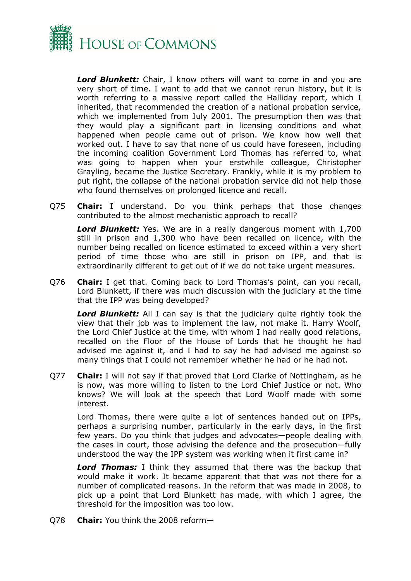

*Lord Blunkett:* Chair, I know others will want to come in and you are very short of time. I want to add that we cannot rerun history, but it is worth referring to a massive report called the Halliday report, which I inherited, that recommended the creation of a national probation service, which we implemented from July 2001. The presumption then was that they would play a significant part in licensing conditions and what happened when people came out of prison. We know how well that worked out. I have to say that none of us could have foreseen, including the incoming coalition Government Lord Thomas has referred to, what was going to happen when your erstwhile colleague, Christopher Grayling, became the Justice Secretary. Frankly, while it is my problem to put right, the collapse of the national probation service did not help those who found themselves on prolonged licence and recall.

Q75 **Chair:** I understand. Do you think perhaps that those changes contributed to the almost mechanistic approach to recall?

*Lord Blunkett:* Yes. We are in a really dangerous moment with 1,700 still in prison and 1,300 who have been recalled on licence, with the number being recalled on licence estimated to exceed within a very short period of time those who are still in prison on IPP, and that is extraordinarily different to get out of if we do not take urgent measures.

Q76 **Chair:** I get that. Coming back to Lord Thomas's point, can you recall, Lord Blunkett, if there was much discussion with the judiciary at the time that the IPP was being developed?

**Lord Blunkett:** All I can say is that the judiciary quite rightly took the view that their job was to implement the law, not make it. Harry Woolf, the Lord Chief Justice at the time, with whom I had really good relations, recalled on the Floor of the House of Lords that he thought he had advised me against it, and I had to say he had advised me against so many things that I could not remember whether he had or he had not.

Q77 **Chair:** I will not say if that proved that Lord Clarke of Nottingham, as he is now, was more willing to listen to the Lord Chief Justice or not. Who knows? We will look at the speech that Lord Woolf made with some interest.

Lord Thomas, there were quite a lot of sentences handed out on IPPs, perhaps a surprising number, particularly in the early days, in the first few years. Do you think that judges and advocates—people dealing with the cases in court, those advising the defence and the prosecution—fully understood the way the IPP system was working when it first came in?

*Lord Thomas:* I think they assumed that there was the backup that would make it work. It became apparent that that was not there for a number of complicated reasons. In the reform that was made in 2008, to pick up a point that Lord Blunkett has made, with which I agree, the threshold for the imposition was too low.

Q78 **Chair:** You think the 2008 reform—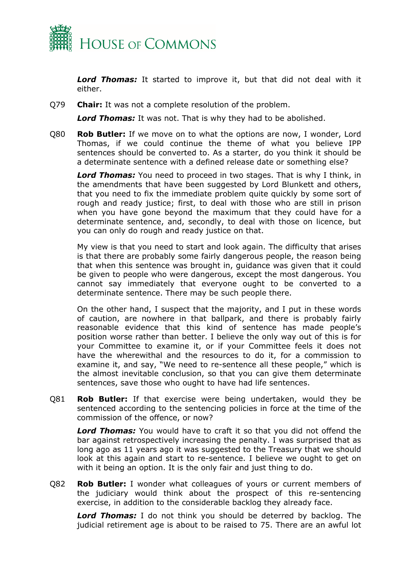

*Lord Thomas:* It started to improve it, but that did not deal with it either.

Q79 **Chair:** It was not a complete resolution of the problem.

*Lord Thomas:* It was not. That is why they had to be abolished.

Q80 **Rob Butler:** If we move on to what the options are now, I wonder, Lord Thomas, if we could continue the theme of what you believe IPP sentences should be converted to. As a starter, do you think it should be a determinate sentence with a defined release date or something else?

*Lord Thomas:* You need to proceed in two stages. That is why I think, in the amendments that have been suggested by Lord Blunkett and others, that you need to fix the immediate problem quite quickly by some sort of rough and ready justice; first, to deal with those who are still in prison when you have gone beyond the maximum that they could have for a determinate sentence, and, secondly, to deal with those on licence, but you can only do rough and ready justice on that.

My view is that you need to start and look again. The difficulty that arises is that there are probably some fairly dangerous people, the reason being that when this sentence was brought in, guidance was given that it could be given to people who were dangerous, except the most dangerous. You cannot say immediately that everyone ought to be converted to a determinate sentence. There may be such people there.

On the other hand, I suspect that the majority, and I put in these words of caution, are nowhere in that ballpark, and there is probably fairly reasonable evidence that this kind of sentence has made people's position worse rather than better. I believe the only way out of this is for your Committee to examine it, or if your Committee feels it does not have the wherewithal and the resources to do it, for a commission to examine it, and say, "We need to re-sentence all these people," which is the almost inevitable conclusion, so that you can give them determinate sentences, save those who ought to have had life sentences.

Q81 **Rob Butler:** If that exercise were being undertaken, would they be sentenced according to the sentencing policies in force at the time of the commission of the offence, or now?

*Lord Thomas:* You would have to craft it so that you did not offend the bar against retrospectively increasing the penalty. I was surprised that as long ago as 11 years ago it was suggested to the Treasury that we should look at this again and start to re-sentence. I believe we ought to get on with it being an option. It is the only fair and just thing to do.

Q82 **Rob Butler:** I wonder what colleagues of yours or current members of the judiciary would think about the prospect of this re-sentencing exercise, in addition to the considerable backlog they already face.

*Lord Thomas:* I do not think you should be deterred by backlog. The judicial retirement age is about to be raised to 75. There are an awful lot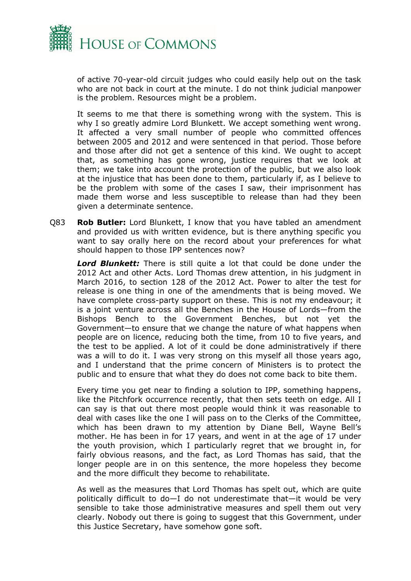

of active 70-year-old circuit judges who could easily help out on the task who are not back in court at the minute. I do not think judicial manpower is the problem. Resources might be a problem.

It seems to me that there is something wrong with the system. This is why I so greatly admire Lord Blunkett. We accept something went wrong. It affected a very small number of people who committed offences between 2005 and 2012 and were sentenced in that period. Those before and those after did not get a sentence of this kind. We ought to accept that, as something has gone wrong, justice requires that we look at them; we take into account the protection of the public, but we also look at the injustice that has been done to them, particularly if, as I believe to be the problem with some of the cases I saw, their imprisonment has made them worse and less susceptible to release than had they been given a determinate sentence.

Q83 **Rob Butler:** Lord Blunkett, I know that you have tabled an amendment and provided us with written evidence, but is there anything specific you want to say orally here on the record about your preferences for what should happen to those IPP sentences now?

*Lord Blunkett:* There is still quite a lot that could be done under the 2012 Act and other Acts. Lord Thomas drew attention, in his judgment in March 2016, to section 128 of the 2012 Act. Power to alter the test for release is one thing in one of the amendments that is being moved. We have complete cross-party support on these. This is not my endeavour; it is a joint venture across all the Benches in the House of Lords—from the Bishops Bench to the Government Benches, but not yet the Government—to ensure that we change the nature of what happens when people are on licence, reducing both the time, from 10 to five years, and the test to be applied. A lot of it could be done administratively if there was a will to do it. I was very strong on this myself all those years ago, and I understand that the prime concern of Ministers is to protect the public and to ensure that what they do does not come back to bite them.

Every time you get near to finding a solution to IPP, something happens, like the Pitchfork occurrence recently, that then sets teeth on edge. All I can say is that out there most people would think it was reasonable to deal with cases like the one I will pass on to the Clerks of the Committee, which has been drawn to my attention by Diane Bell, Wayne Bell's mother. He has been in for 17 years, and went in at the age of 17 under the youth provision, which I particularly regret that we brought in, for fairly obvious reasons, and the fact, as Lord Thomas has said, that the longer people are in on this sentence, the more hopeless they become and the more difficult they become to rehabilitate.

As well as the measures that Lord Thomas has spelt out, which are quite politically difficult to do—I do not underestimate that—it would be very sensible to take those administrative measures and spell them out very clearly. Nobody out there is going to suggest that this Government, under this Justice Secretary, have somehow gone soft.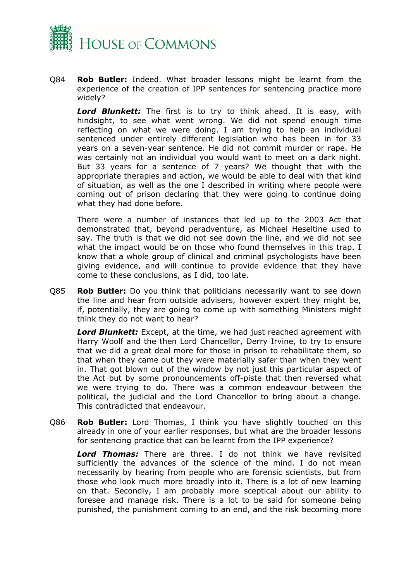

Q84 **Rob Butler:** Indeed. What broader lessons might be learnt from the experience of the creation of IPP sentences for sentencing practice more widely?

*Lord Blunkett:* The first is to try to think ahead. It is easy, with hindsight, to see what went wrong. We did not spend enough time reflecting on what we were doing. I am trying to help an individual sentenced under entirely different legislation who has been in for 33 years on a seven-year sentence. He did not commit murder or rape. He was certainly not an individual you would want to meet on a dark night. But 33 years for a sentence of 7 years? We thought that with the appropriate therapies and action, we would be able to deal with that kind of situation, as well as the one I described in writing where people were coming out of prison declaring that they were going to continue doing what they had done before.

There were a number of instances that led up to the 2003 Act that demonstrated that, beyond peradventure, as Michael Heseltine used to say. The truth is that we did not see down the line, and we did not see what the impact would be on those who found themselves in this trap. I know that a whole group of clinical and criminal psychologists have been giving evidence, and will continue to provide evidence that they have come to these conclusions, as I did, too late.

Q85 **Rob Butler:** Do you think that politicians necessarily want to see down the line and hear from outside advisers, however expert they might be, if, potentially, they are going to come up with something Ministers might think they do not want to hear?

*Lord Blunkett:* Except, at the time, we had just reached agreement with Harry Woolf and the then Lord Chancellor, Derry Irvine, to try to ensure that we did a great deal more for those in prison to rehabilitate them, so that when they came out they were materially safer than when they went in. That got blown out of the window by not just this particular aspect of the Act but by some pronouncements off-piste that then reversed what we were trying to do. There was a common endeavour between the political, the judicial and the Lord Chancellor to bring about a change. This contradicted that endeavour.

Q86 **Rob Butler:** Lord Thomas, I think you have slightly touched on this already in one of your earlier responses, but what are the broader lessons for sentencing practice that can be learnt from the IPP experience?

*Lord Thomas:* There are three. I do not think we have revisited sufficiently the advances of the science of the mind. I do not mean necessarily by hearing from people who are forensic scientists, but from those who look much more broadly into it. There is a lot of new learning on that. Secondly, I am probably more sceptical about our ability to foresee and manage risk. There is a lot to be said for someone being punished, the punishment coming to an end, and the risk becoming more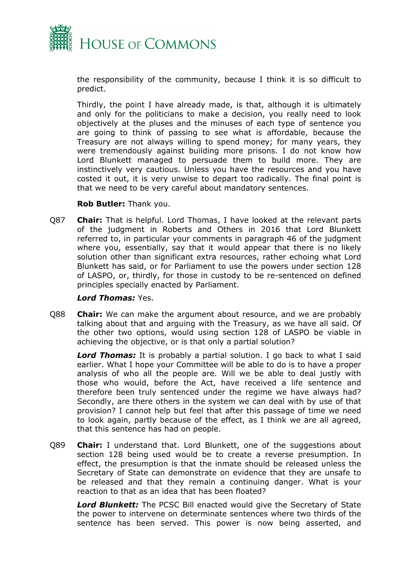

the responsibility of the community, because I think it is so difficult to predict.

Thirdly, the point I have already made, is that, although it is ultimately and only for the politicians to make a decision, you really need to look objectively at the pluses and the minuses of each type of sentence you are going to think of passing to see what is affordable, because the Treasury are not always willing to spend money; for many years, they were tremendously against building more prisons. I do not know how Lord Blunkett managed to persuade them to build more. They are instinctively very cautious. Unless you have the resources and you have costed it out, it is very unwise to depart too radically. The final point is that we need to be very careful about mandatory sentences.

#### **Rob Butler:** Thank you.

Q87 **Chair:** That is helpful. Lord Thomas, I have looked at the relevant parts of the judgment in Roberts and Others in 2016 that Lord Blunkett referred to, in particular your comments in paragraph 46 of the judgment where you, essentially, say that it would appear that there is no likely solution other than significant extra resources, rather echoing what Lord Blunkett has said, or for Parliament to use the powers under section 128 of LASPO, or, thirdly, for those in custody to be re-sentenced on defined principles specially enacted by Parliament.

#### *Lord Thomas:* Yes.

Q88 **Chair:** We can make the argument about resource, and we are probably talking about that and arguing with the Treasury, as we have all said. Of the other two options, would using section 128 of LASPO be viable in achieving the objective, or is that only a partial solution?

*Lord Thomas:* It is probably a partial solution. I go back to what I said earlier. What I hope your Committee will be able to do is to have a proper analysis of who all the people are. Will we be able to deal justly with those who would, before the Act, have received a life sentence and therefore been truly sentenced under the regime we have always had? Secondly, are there others in the system we can deal with by use of that provision? I cannot help but feel that after this passage of time we need to look again, partly because of the effect, as I think we are all agreed, that this sentence has had on people.

Q89 **Chair:** I understand that. Lord Blunkett, one of the suggestions about section 128 being used would be to create a reverse presumption. In effect, the presumption is that the inmate should be released unless the Secretary of State can demonstrate on evidence that they are unsafe to be released and that they remain a continuing danger. What is your reaction to that as an idea that has been floated?

*Lord Blunkett:* The PCSC Bill enacted would give the Secretary of State the power to intervene on determinate sentences where two thirds of the sentence has been served. This power is now being asserted, and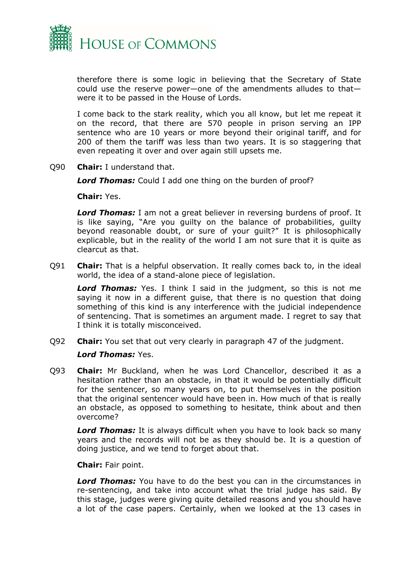

therefore there is some logic in believing that the Secretary of State could use the reserve power—one of the amendments alludes to that were it to be passed in the House of Lords.

I come back to the stark reality, which you all know, but let me repeat it on the record, that there are 570 people in prison serving an IPP sentence who are 10 years or more beyond their original tariff, and for 200 of them the tariff was less than two years. It is so staggering that even repeating it over and over again still upsets me.

Q90 **Chair:** I understand that.

*Lord Thomas:* Could I add one thing on the burden of proof?

**Chair:** Yes.

*Lord Thomas:* I am not a great believer in reversing burdens of proof. It is like saying, "Are you guilty on the balance of probabilities, guilty beyond reasonable doubt, or sure of your guilt?" It is philosophically explicable, but in the reality of the world I am not sure that it is quite as clearcut as that.

Q91 **Chair:** That is a helpful observation. It really comes back to, in the ideal world, the idea of a stand-alone piece of legislation.

*Lord Thomas:* Yes. I think I said in the judgment, so this is not me saying it now in a different guise, that there is no question that doing something of this kind is any interference with the judicial independence of sentencing. That is sometimes an argument made. I regret to say that I think it is totally misconceived.

Q92 **Chair:** You set that out very clearly in paragraph 47 of the judgment.

#### *Lord Thomas:* Yes.

Q93 **Chair:** Mr Buckland, when he was Lord Chancellor, described it as a hesitation rather than an obstacle, in that it would be potentially difficult for the sentencer, so many years on, to put themselves in the position that the original sentencer would have been in. How much of that is really an obstacle, as opposed to something to hesitate, think about and then overcome?

*Lord Thomas:* It is always difficult when you have to look back so many years and the records will not be as they should be. It is a question of doing justice, and we tend to forget about that.

**Chair:** Fair point.

*Lord Thomas:* You have to do the best you can in the circumstances in re-sentencing, and take into account what the trial judge has said. By this stage, judges were giving quite detailed reasons and you should have a lot of the case papers. Certainly, when we looked at the 13 cases in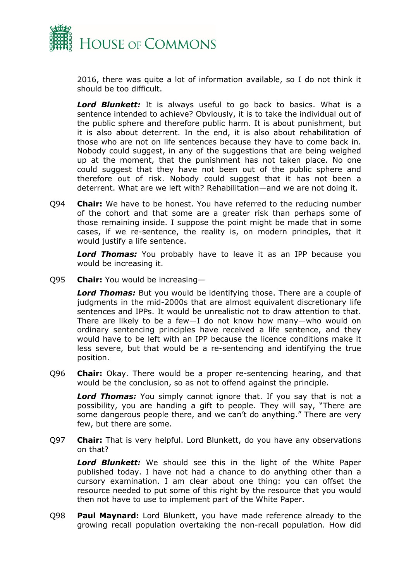

2016, there was quite a lot of information available, so I do not think it should be too difficult.

*Lord Blunkett:* It is always useful to go back to basics. What is a sentence intended to achieve? Obviously, it is to take the individual out of the public sphere and therefore public harm. It is about punishment, but it is also about deterrent. In the end, it is also about rehabilitation of those who are not on life sentences because they have to come back in. Nobody could suggest, in any of the suggestions that are being weighed up at the moment, that the punishment has not taken place. No one could suggest that they have not been out of the public sphere and therefore out of risk. Nobody could suggest that it has not been a deterrent. What are we left with? Rehabilitation—and we are not doing it.

Q94 **Chair:** We have to be honest. You have referred to the reducing number of the cohort and that some are a greater risk than perhaps some of those remaining inside. I suppose the point might be made that in some cases, if we re-sentence, the reality is, on modern principles, that it would justify a life sentence.

*Lord Thomas:* You probably have to leave it as an IPP because you would be increasing it.

Q95 **Chair:** You would be increasing—

*Lord Thomas:* But you would be identifying those. There are a couple of judgments in the mid-2000s that are almost equivalent discretionary life sentences and IPPs. It would be unrealistic not to draw attention to that. There are likely to be a few—I do not know how many—who would on ordinary sentencing principles have received a life sentence, and they would have to be left with an IPP because the licence conditions make it less severe, but that would be a re-sentencing and identifying the true position.

Q96 **Chair:** Okay. There would be a proper re-sentencing hearing, and that would be the conclusion, so as not to offend against the principle.

*Lord Thomas:* You simply cannot ignore that. If you say that is not a possibility, you are handing a gift to people. They will say, "There are some dangerous people there, and we can't do anything." There are very few, but there are some.

Q97 **Chair:** That is very helpful. Lord Blunkett, do you have any observations on that?

*Lord Blunkett:* We should see this in the light of the White Paper published today. I have not had a chance to do anything other than a cursory examination. I am clear about one thing: you can offset the resource needed to put some of this right by the resource that you would then not have to use to implement part of the White Paper.

Q98 **Paul Maynard:** Lord Blunkett, you have made reference already to the growing recall population overtaking the non-recall population. How did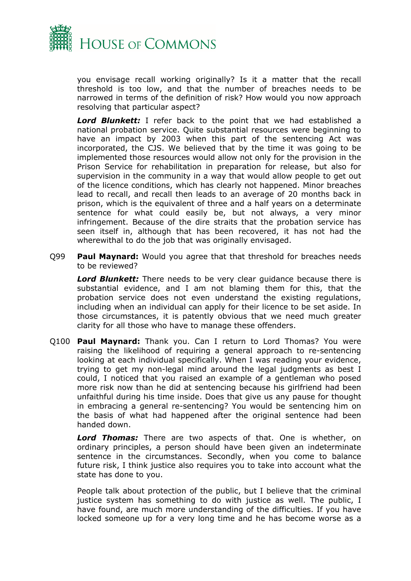

you envisage recall working originally? Is it a matter that the recall threshold is too low, and that the number of breaches needs to be narrowed in terms of the definition of risk? How would you now approach resolving that particular aspect?

*Lord Blunkett:* I refer back to the point that we had established a national probation service. Quite substantial resources were beginning to have an impact by 2003 when this part of the sentencing Act was incorporated, the CJS. We believed that by the time it was going to be implemented those resources would allow not only for the provision in the Prison Service for rehabilitation in preparation for release, but also for supervision in the community in a way that would allow people to get out of the licence conditions, which has clearly not happened. Minor breaches lead to recall, and recall then leads to an average of 20 months back in prison, which is the equivalent of three and a half years on a determinate sentence for what could easily be, but not always, a very minor infringement. Because of the dire straits that the probation service has seen itself in, although that has been recovered, it has not had the wherewithal to do the job that was originally envisaged.

Q99 **Paul Maynard:** Would you agree that that threshold for breaches needs to be reviewed?

*Lord Blunkett:* There needs to be very clear guidance because there is substantial evidence, and I am not blaming them for this, that the probation service does not even understand the existing regulations, including when an individual can apply for their licence to be set aside. In those circumstances, it is patently obvious that we need much greater clarity for all those who have to manage these offenders.

Q100 **Paul Maynard:** Thank you. Can I return to Lord Thomas? You were raising the likelihood of requiring a general approach to re-sentencing looking at each individual specifically. When I was reading your evidence, trying to get my non-legal mind around the legal judgments as best I could, I noticed that you raised an example of a gentleman who posed more risk now than he did at sentencing because his girlfriend had been unfaithful during his time inside. Does that give us any pause for thought in embracing a general re-sentencing? You would be sentencing him on the basis of what had happened after the original sentence had been handed down.

*Lord Thomas:* There are two aspects of that. One is whether, on ordinary principles, a person should have been given an indeterminate sentence in the circumstances. Secondly, when you come to balance future risk, I think justice also requires you to take into account what the state has done to you.

People talk about protection of the public, but I believe that the criminal justice system has something to do with justice as well. The public, I have found, are much more understanding of the difficulties. If you have locked someone up for a very long time and he has become worse as a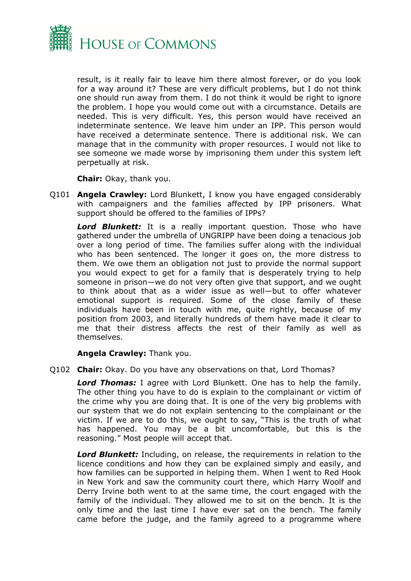

result, is it really fair to leave him there almost forever, or do you look for a way around it? These are very difficult problems, but I do not think one should run away from them. I do not think it would be right to ignore the problem. I hope you would come out with a circumstance. Details are needed. This is very difficult. Yes, this person would have received an indeterminate sentence. We leave him under an IPP. This person would have received a determinate sentence. There is additional risk. We can manage that in the community with proper resources. I would not like to see someone we made worse by imprisoning them under this system left perpetually at risk.

**Chair:** Okay, thank you.

Q101 **Angela Crawley:** Lord Blunkett, I know you have engaged considerably with campaigners and the families affected by IPP prisoners. What support should be offered to the families of IPPs?

*Lord Blunkett:* It is a really important question. Those who have gathered under the umbrella of UNGRIPP have been doing a tenacious job over a long period of time. The families suffer along with the individual who has been sentenced. The longer it goes on, the more distress to them. We owe them an obligation not just to provide the normal support you would expect to get for a family that is desperately trying to help someone in prison—we do not very often give that support, and we ought to think about that as a wider issue as well—but to offer whatever emotional support is required. Some of the close family of these individuals have been in touch with me, quite rightly, because of my position from 2003, and literally hundreds of them have made it clear to me that their distress affects the rest of their family as well as themselves.

**Angela Crawley:** Thank you.

Q102 **Chair:** Okay. Do you have any observations on that, Lord Thomas?

*Lord Thomas:* I agree with Lord Blunkett. One has to help the family. The other thing you have to do is explain to the complainant or victim of the crime why you are doing that. It is one of the very big problems with our system that we do not explain sentencing to the complainant or the victim. If we are to do this, we ought to say, "This is the truth of what has happened. You may be a bit uncomfortable, but this is the reasoning." Most people will accept that.

*Lord Blunkett:* Including, on release, the requirements in relation to the licence conditions and how they can be explained simply and easily, and how families can be supported in helping them. When I went to Red Hook in New York and saw the community court there, which Harry Woolf and Derry Irvine both went to at the same time, the court engaged with the family of the individual. They allowed me to sit on the bench. It is the only time and the last time I have ever sat on the bench. The family came before the judge, and the family agreed to a programme where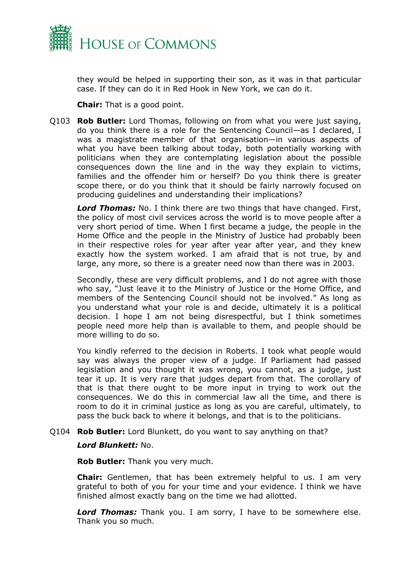

they would be helped in supporting their son, as it was in that particular case. If they can do it in Red Hook in New York, we can do it.

**Chair:** That is a good point.

Q103 **Rob Butler:** Lord Thomas, following on from what you were just saying, do you think there is a role for the Sentencing Council—as I declared, I was a magistrate member of that organisation—in various aspects of what you have been talking about today, both potentially working with politicians when they are contemplating legislation about the possible consequences down the line and in the way they explain to victims, families and the offender him or herself? Do you think there is greater scope there, or do you think that it should be fairly narrowly focused on producing guidelines and understanding their implications?

*Lord Thomas:* No. I think there are two things that have changed. First, the policy of most civil services across the world is to move people after a very short period of time. When I first became a judge, the people in the Home Office and the people in the Ministry of Justice had probably been in their respective roles for year after year after year, and they knew exactly how the system worked. I am afraid that is not true, by and large, any more, so there is a greater need now than there was in 2003.

Secondly, these are very difficult problems, and I do not agree with those who say, "Just leave it to the Ministry of Justice or the Home Office, and members of the Sentencing Council should not be involved." As long as you understand what your role is and decide, ultimately it is a political decision. I hope I am not being disrespectful, but I think sometimes people need more help than is available to them, and people should be more willing to do so.

You kindly referred to the decision in Roberts. I took what people would say was always the proper view of a judge. If Parliament had passed legislation and you thought it was wrong, you cannot, as a judge, just tear it up. It is very rare that judges depart from that. The corollary of that is that there ought to be more input in trying to work out the consequences. We do this in commercial law all the time, and there is room to do it in criminal justice as long as you are careful, ultimately, to pass the buck back to where it belongs, and that is to the politicians.

#### Q104 **Rob Butler:** Lord Blunkett, do you want to say anything on that?

#### *Lord Blunkett:* No.

**Rob Butler:** Thank you very much.

**Chair:** Gentlemen, that has been extremely helpful to us. I am very grateful to both of you for your time and your evidence. I think we have finished almost exactly bang on the time we had allotted.

*Lord Thomas:* Thank you. I am sorry, I have to be somewhere else. Thank you so much.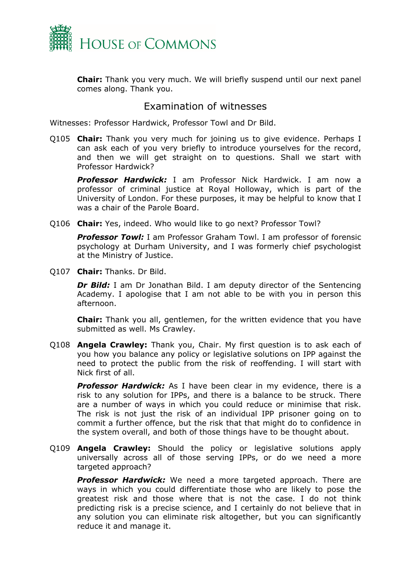

**Chair:** Thank you very much. We will briefly suspend until our next panel comes along. Thank you.

## <span id="page-14-0"></span>Examination of witnesses

Witnesses: Professor Hardwick, Professor Towl and Dr Bild.

Q105 **Chair:** Thank you very much for joining us to give evidence. Perhaps I can ask each of you very briefly to introduce yourselves for the record, and then we will get straight on to questions. Shall we start with Professor Hardwick?

*Professor Hardwick:* I am Professor Nick Hardwick. I am now a professor of criminal justice at Royal Holloway, which is part of the University of London. For these purposes, it may be helpful to know that I was a chair of the Parole Board.

Q106 **Chair:** Yes, indeed. Who would like to go next? Professor Towl?

*Professor Towl:* I am Professor Graham Towl. I am professor of forensic psychology at Durham University, and I was formerly chief psychologist at the Ministry of Justice.

Q107 **Chair:** Thanks. Dr Bild.

**Dr Bild:** I am Dr Jonathan Bild. I am deputy director of the Sentencing Academy. I apologise that I am not able to be with you in person this afternoon.

**Chair:** Thank you all, gentlemen, for the written evidence that you have submitted as well. Ms Crawley.

Q108 **Angela Crawley:** Thank you, Chair. My first question is to ask each of you how you balance any policy or legislative solutions on IPP against the need to protect the public from the risk of reoffending. I will start with Nick first of all.

*Professor Hardwick:* As I have been clear in my evidence, there is a risk to any solution for IPPs, and there is a balance to be struck. There are a number of ways in which you could reduce or minimise that risk. The risk is not just the risk of an individual IPP prisoner going on to commit a further offence, but the risk that that might do to confidence in the system overall, and both of those things have to be thought about.

Q109 **Angela Crawley:** Should the policy or legislative solutions apply universally across all of those serving IPPs, or do we need a more targeted approach?

*Professor Hardwick:* We need a more targeted approach. There are ways in which you could differentiate those who are likely to pose the greatest risk and those where that is not the case. I do not think predicting risk is a precise science, and I certainly do not believe that in any solution you can eliminate risk altogether, but you can significantly reduce it and manage it.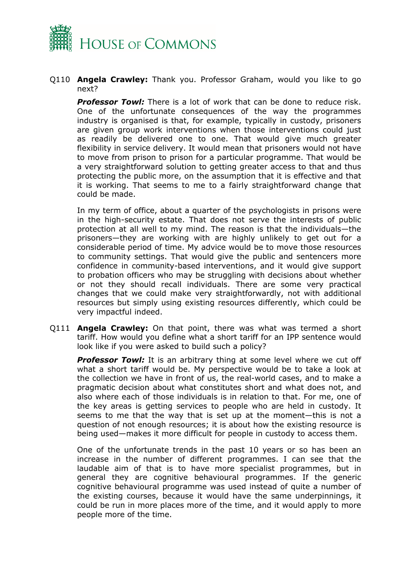

Q110 **Angela Crawley:** Thank you. Professor Graham, would you like to go next?

*Professor Towl:* There is a lot of work that can be done to reduce risk. One of the unfortunate consequences of the way the programmes industry is organised is that, for example, typically in custody, prisoners are given group work interventions when those interventions could just as readily be delivered one to one. That would give much greater flexibility in service delivery. It would mean that prisoners would not have to move from prison to prison for a particular programme. That would be a very straightforward solution to getting greater access to that and thus protecting the public more, on the assumption that it is effective and that it is working. That seems to me to a fairly straightforward change that could be made.

In my term of office, about a quarter of the psychologists in prisons were in the high-security estate. That does not serve the interests of public protection at all well to my mind. The reason is that the individuals—the prisoners—they are working with are highly unlikely to get out for a considerable period of time. My advice would be to move those resources to community settings. That would give the public and sentencers more confidence in community-based interventions, and it would give support to probation officers who may be struggling with decisions about whether or not they should recall individuals. There are some very practical changes that we could make very straightforwardly, not with additional resources but simply using existing resources differently, which could be very impactful indeed.

Q111 **Angela Crawley:** On that point, there was what was termed a short tariff. How would you define what a short tariff for an IPP sentence would look like if you were asked to build such a policy?

*Professor Towl:* It is an arbitrary thing at some level where we cut off what a short tariff would be. My perspective would be to take a look at the collection we have in front of us, the real-world cases, and to make a pragmatic decision about what constitutes short and what does not, and also where each of those individuals is in relation to that. For me, one of the key areas is getting services to people who are held in custody. It seems to me that the way that is set up at the moment—this is not a question of not enough resources; it is about how the existing resource is being used—makes it more difficult for people in custody to access them.

One of the unfortunate trends in the past 10 years or so has been an increase in the number of different programmes. I can see that the laudable aim of that is to have more specialist programmes, but in general they are cognitive behavioural programmes. If the generic cognitive behavioural programme was used instead of quite a number of the existing courses, because it would have the same underpinnings, it could be run in more places more of the time, and it would apply to more people more of the time.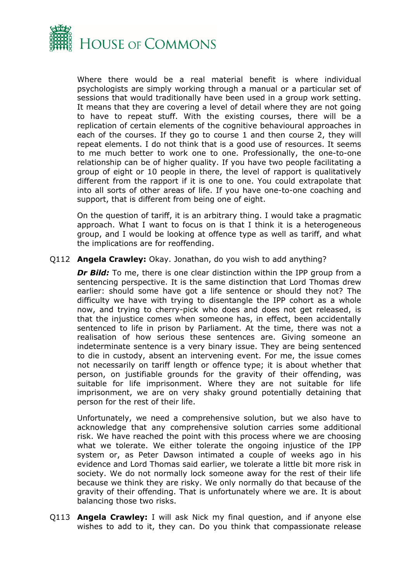

Where there would be a real material benefit is where individual psychologists are simply working through a manual or a particular set of sessions that would traditionally have been used in a group work setting. It means that they are covering a level of detail where they are not going to have to repeat stuff. With the existing courses, there will be a replication of certain elements of the cognitive behavioural approaches in each of the courses. If they go to course 1 and then course 2, they will repeat elements. I do not think that is a good use of resources. It seems to me much better to work one to one. Professionally, the one-to-one relationship can be of higher quality. If you have two people facilitating a group of eight or 10 people in there, the level of rapport is qualitatively different from the rapport if it is one to one. You could extrapolate that into all sorts of other areas of life. If you have one-to-one coaching and support, that is different from being one of eight.

On the question of tariff, it is an arbitrary thing. I would take a pragmatic approach. What I want to focus on is that I think it is a heterogeneous group, and I would be looking at offence type as well as tariff, and what the implications are for reoffending.

#### Q112 **Angela Crawley:** Okay. Jonathan, do you wish to add anything?

*Dr Bild:* To me, there is one clear distinction within the IPP group from a sentencing perspective. It is the same distinction that Lord Thomas drew earlier: should some have got a life sentence or should they not? The difficulty we have with trying to disentangle the IPP cohort as a whole now, and trying to cherry-pick who does and does not get released, is that the injustice comes when someone has, in effect, been accidentally sentenced to life in prison by Parliament. At the time, there was not a realisation of how serious these sentences are. Giving someone an indeterminate sentence is a very binary issue. They are being sentenced to die in custody, absent an intervening event. For me, the issue comes not necessarily on tariff length or offence type; it is about whether that person, on justifiable grounds for the gravity of their offending, was suitable for life imprisonment. Where they are not suitable for life imprisonment, we are on very shaky ground potentially detaining that person for the rest of their life.

Unfortunately, we need a comprehensive solution, but we also have to acknowledge that any comprehensive solution carries some additional risk. We have reached the point with this process where we are choosing what we tolerate. We either tolerate the ongoing injustice of the IPP system or, as Peter Dawson intimated a couple of weeks ago in his evidence and Lord Thomas said earlier, we tolerate a little bit more risk in society. We do not normally lock someone away for the rest of their life because we think they are risky. We only normally do that because of the gravity of their offending. That is unfortunately where we are. It is about balancing those two risks.

Q113 **Angela Crawley:** I will ask Nick my final question, and if anyone else wishes to add to it, they can. Do you think that compassionate release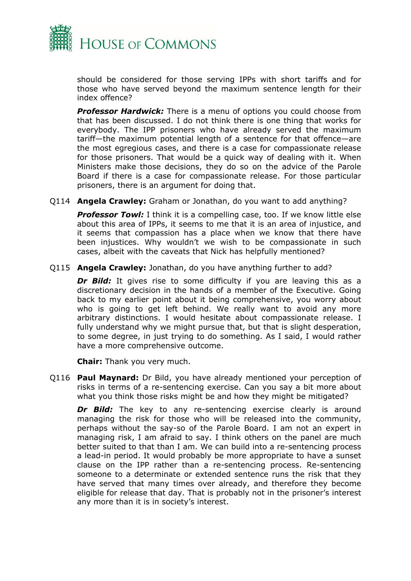

should be considered for those serving IPPs with short tariffs and for those who have served beyond the maximum sentence length for their index offence?

*Professor Hardwick:* There is a menu of options you could choose from that has been discussed. I do not think there is one thing that works for everybody. The IPP prisoners who have already served the maximum tariff—the maximum potential length of a sentence for that offence—are the most egregious cases, and there is a case for compassionate release for those prisoners. That would be a quick way of dealing with it. When Ministers make those decisions, they do so on the advice of the Parole Board if there is a case for compassionate release. For those particular prisoners, there is an argument for doing that.

Q114 **Angela Crawley:** Graham or Jonathan, do you want to add anything?

**Professor Towl:** I think it is a compelling case, too. If we know little else about this area of IPPs, it seems to me that it is an area of injustice, and it seems that compassion has a place when we know that there have been injustices. Why wouldn't we wish to be compassionate in such cases, albeit with the caveats that Nick has helpfully mentioned?

Q115 **Angela Crawley:** Jonathan, do you have anything further to add?

**Dr Bild:** It gives rise to some difficulty if you are leaving this as a discretionary decision in the hands of a member of the Executive. Going back to my earlier point about it being comprehensive, you worry about who is going to get left behind. We really want to avoid any more arbitrary distinctions. I would hesitate about compassionate release. I fully understand why we might pursue that, but that is slight desperation, to some degree, in just trying to do something. As I said, I would rather have a more comprehensive outcome.

**Chair:** Thank you very much.

Q116 **Paul Maynard:** Dr Bild, you have already mentioned your perception of risks in terms of a re-sentencing exercise. Can you say a bit more about what you think those risks might be and how they might be mitigated?

*Dr Bild:* The key to any re-sentencing exercise clearly is around managing the risk for those who will be released into the community, perhaps without the say-so of the Parole Board. I am not an expert in managing risk, I am afraid to say. I think others on the panel are much better suited to that than I am. We can build into a re-sentencing process a lead-in period. It would probably be more appropriate to have a sunset clause on the IPP rather than a re-sentencing process. Re-sentencing someone to a determinate or extended sentence runs the risk that they have served that many times over already, and therefore they become eligible for release that day. That is probably not in the prisoner's interest any more than it is in society's interest.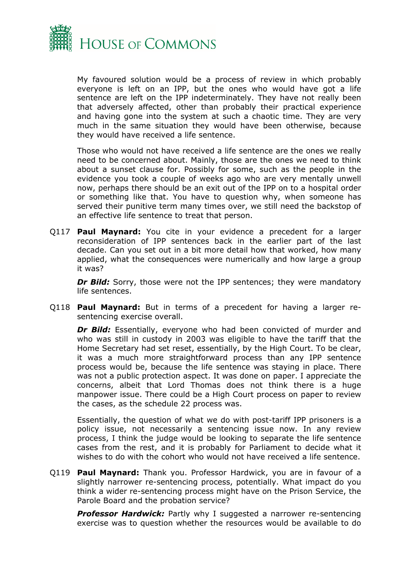

My favoured solution would be a process of review in which probably everyone is left on an IPP, but the ones who would have got a life sentence are left on the IPP indeterminately. They have not really been that adversely affected, other than probably their practical experience and having gone into the system at such a chaotic time. They are very much in the same situation they would have been otherwise, because they would have received a life sentence.

Those who would not have received a life sentence are the ones we really need to be concerned about. Mainly, those are the ones we need to think about a sunset clause for. Possibly for some, such as the people in the evidence you took a couple of weeks ago who are very mentally unwell now, perhaps there should be an exit out of the IPP on to a hospital order or something like that. You have to question why, when someone has served their punitive term many times over, we still need the backstop of an effective life sentence to treat that person.

Q117 **Paul Maynard:** You cite in your evidence a precedent for a larger reconsideration of IPP sentences back in the earlier part of the last decade. Can you set out in a bit more detail how that worked, how many applied, what the consequences were numerically and how large a group it was?

*Dr Bild:* Sorry, those were not the IPP sentences; they were mandatory life sentences.

Q118 **Paul Maynard:** But in terms of a precedent for having a larger resentencing exercise overall.

*Dr Bild:* Essentially, everyone who had been convicted of murder and who was still in custody in 2003 was eligible to have the tariff that the Home Secretary had set reset, essentially, by the High Court. To be clear, it was a much more straightforward process than any IPP sentence process would be, because the life sentence was staying in place. There was not a public protection aspect. It was done on paper. I appreciate the concerns, albeit that Lord Thomas does not think there is a huge manpower issue. There could be a High Court process on paper to review the cases, as the schedule 22 process was.

Essentially, the question of what we do with post-tariff IPP prisoners is a policy issue, not necessarily a sentencing issue now. In any review process, I think the judge would be looking to separate the life sentence cases from the rest, and it is probably for Parliament to decide what it wishes to do with the cohort who would not have received a life sentence.

Q119 **Paul Maynard:** Thank you. Professor Hardwick, you are in favour of a slightly narrower re-sentencing process, potentially. What impact do you think a wider re-sentencing process might have on the Prison Service, the Parole Board and the probation service?

**Professor Hardwick:** Partly why I suggested a narrower re-sentencing exercise was to question whether the resources would be available to do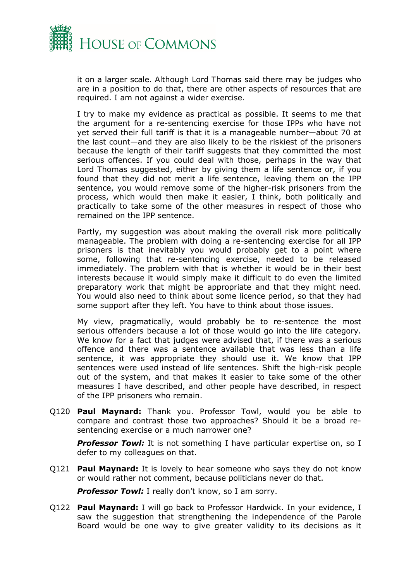

it on a larger scale. Although Lord Thomas said there may be judges who are in a position to do that, there are other aspects of resources that are required. I am not against a wider exercise.

I try to make my evidence as practical as possible. It seems to me that the argument for a re-sentencing exercise for those IPPs who have not yet served their full tariff is that it is a manageable number—about 70 at the last count—and they are also likely to be the riskiest of the prisoners because the length of their tariff suggests that they committed the most serious offences. If you could deal with those, perhaps in the way that Lord Thomas suggested, either by giving them a life sentence or, if you found that they did not merit a life sentence, leaving them on the IPP sentence, you would remove some of the higher-risk prisoners from the process, which would then make it easier, I think, both politically and practically to take some of the other measures in respect of those who remained on the IPP sentence.

Partly, my suggestion was about making the overall risk more politically manageable. The problem with doing a re-sentencing exercise for all IPP prisoners is that inevitably you would probably get to a point where some, following that re-sentencing exercise, needed to be released immediately. The problem with that is whether it would be in their best interests because it would simply make it difficult to do even the limited preparatory work that might be appropriate and that they might need. You would also need to think about some licence period, so that they had some support after they left. You have to think about those issues.

My view, pragmatically, would probably be to re-sentence the most serious offenders because a lot of those would go into the life category. We know for a fact that judges were advised that, if there was a serious offence and there was a sentence available that was less than a life sentence, it was appropriate they should use it. We know that IPP sentences were used instead of life sentences. Shift the high-risk people out of the system, and that makes it easier to take some of the other measures I have described, and other people have described, in respect of the IPP prisoners who remain.

Q120 **Paul Maynard:** Thank you. Professor Towl, would you be able to compare and contrast those two approaches? Should it be a broad resentencing exercise or a much narrower one?

**Professor Towl:** It is not something I have particular expertise on, so I defer to my colleagues on that.

Q121 **Paul Maynard:** It is lovely to hear someone who says they do not know or would rather not comment, because politicians never do that.

**Professor Towl:** I really don't know, so I am sorry.

Q122 **Paul Maynard:** I will go back to Professor Hardwick. In your evidence, I saw the suggestion that strengthening the independence of the Parole Board would be one way to give greater validity to its decisions as it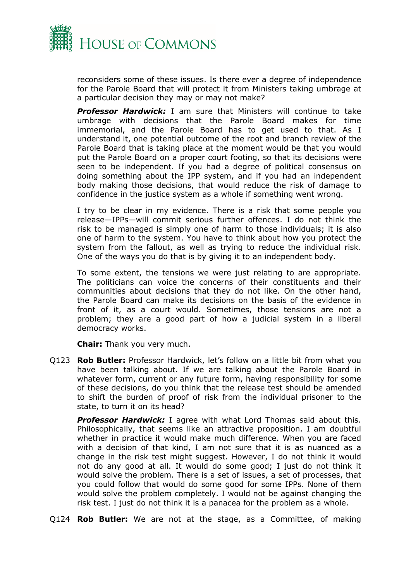

reconsiders some of these issues. Is there ever a degree of independence for the Parole Board that will protect it from Ministers taking umbrage at a particular decision they may or may not make?

*Professor Hardwick:* I am sure that Ministers will continue to take umbrage with decisions that the Parole Board makes for time immemorial, and the Parole Board has to get used to that. As I understand it, one potential outcome of the root and branch review of the Parole Board that is taking place at the moment would be that you would put the Parole Board on a proper court footing, so that its decisions were seen to be independent. If you had a degree of political consensus on doing something about the IPP system, and if you had an independent body making those decisions, that would reduce the risk of damage to confidence in the justice system as a whole if something went wrong.

I try to be clear in my evidence. There is a risk that some people you release—IPPs—will commit serious further offences. I do not think the risk to be managed is simply one of harm to those individuals; it is also one of harm to the system. You have to think about how you protect the system from the fallout, as well as trying to reduce the individual risk. One of the ways you do that is by giving it to an independent body.

To some extent, the tensions we were just relating to are appropriate. The politicians can voice the concerns of their constituents and their communities about decisions that they do not like. On the other hand, the Parole Board can make its decisions on the basis of the evidence in front of it, as a court would. Sometimes, those tensions are not a problem; they are a good part of how a judicial system in a liberal democracy works.

**Chair:** Thank you very much.

Q123 **Rob Butler:** Professor Hardwick, let's follow on a little bit from what you have been talking about. If we are talking about the Parole Board in whatever form, current or any future form, having responsibility for some of these decisions, do you think that the release test should be amended to shift the burden of proof of risk from the individual prisoner to the state, to turn it on its head?

*Professor Hardwick:* I agree with what Lord Thomas said about this. Philosophically, that seems like an attractive proposition. I am doubtful whether in practice it would make much difference. When you are faced with a decision of that kind, I am not sure that it is as nuanced as a change in the risk test might suggest. However, I do not think it would not do any good at all. It would do some good; I just do not think it would solve the problem. There is a set of issues, a set of processes, that you could follow that would do some good for some IPPs. None of them would solve the problem completely. I would not be against changing the risk test. I just do not think it is a panacea for the problem as a whole.

Q124 **Rob Butler:** We are not at the stage, as a Committee, of making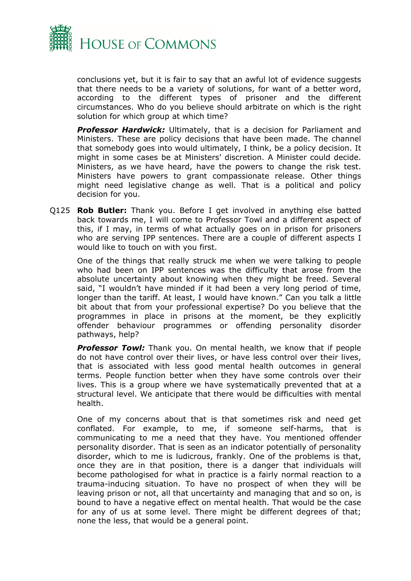

conclusions yet, but it is fair to say that an awful lot of evidence suggests that there needs to be a variety of solutions, for want of a better word, according to the different types of prisoner and the different circumstances. Who do you believe should arbitrate on which is the right solution for which group at which time?

*Professor Hardwick:* Ultimately, that is a decision for Parliament and Ministers. These are policy decisions that have been made. The channel that somebody goes into would ultimately, I think, be a policy decision. It might in some cases be at Ministers' discretion. A Minister could decide. Ministers, as we have heard, have the powers to change the risk test. Ministers have powers to grant compassionate release. Other things might need legislative change as well. That is a political and policy decision for you.

Q125 **Rob Butler:** Thank you. Before I get involved in anything else batted back towards me, I will come to Professor Towl and a different aspect of this, if I may, in terms of what actually goes on in prison for prisoners who are serving IPP sentences. There are a couple of different aspects I would like to touch on with you first.

One of the things that really struck me when we were talking to people who had been on IPP sentences was the difficulty that arose from the absolute uncertainty about knowing when they might be freed. Several said, "I wouldn't have minded if it had been a very long period of time, longer than the tariff. At least, I would have known." Can you talk a little bit about that from your professional expertise? Do you believe that the programmes in place in prisons at the moment, be they explicitly offender behaviour programmes or offending personality disorder pathways, help?

**Professor Towl:** Thank you. On mental health, we know that if people do not have control over their lives, or have less control over their lives, that is associated with less good mental health outcomes in general terms. People function better when they have some controls over their lives. This is a group where we have systematically prevented that at a structural level. We anticipate that there would be difficulties with mental health.

One of my concerns about that is that sometimes risk and need get conflated. For example, to me, if someone self-harms, that is communicating to me a need that they have. You mentioned offender personality disorder. That is seen as an indicator potentially of personality disorder, which to me is ludicrous, frankly. One of the problems is that, once they are in that position, there is a danger that individuals will become pathologised for what in practice is a fairly normal reaction to a trauma-inducing situation. To have no prospect of when they will be leaving prison or not, all that uncertainty and managing that and so on, is bound to have a negative effect on mental health. That would be the case for any of us at some level. There might be different degrees of that; none the less, that would be a general point.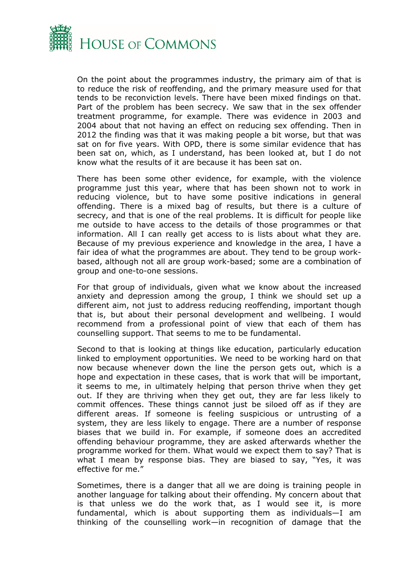

On the point about the programmes industry, the primary aim of that is to reduce the risk of reoffending, and the primary measure used for that tends to be reconviction levels. There have been mixed findings on that. Part of the problem has been secrecy. We saw that in the sex offender treatment programme, for example. There was evidence in 2003 and 2004 about that not having an effect on reducing sex offending. Then in 2012 the finding was that it was making people a bit worse, but that was sat on for five years. With OPD, there is some similar evidence that has been sat on, which, as I understand, has been looked at, but I do not know what the results of it are because it has been sat on.

There has been some other evidence, for example, with the violence programme just this year, where that has been shown not to work in reducing violence, but to have some positive indications in general offending. There is a mixed bag of results, but there is a culture of secrecy, and that is one of the real problems. It is difficult for people like me outside to have access to the details of those programmes or that information. All I can really get access to is lists about what they are. Because of my previous experience and knowledge in the area, I have a fair idea of what the programmes are about. They tend to be group workbased, although not all are group work-based; some are a combination of group and one-to-one sessions.

For that group of individuals, given what we know about the increased anxiety and depression among the group, I think we should set up a different aim, not just to address reducing reoffending, important though that is, but about their personal development and wellbeing. I would recommend from a professional point of view that each of them has counselling support. That seems to me to be fundamental.

Second to that is looking at things like education, particularly education linked to employment opportunities. We need to be working hard on that now because whenever down the line the person gets out, which is a hope and expectation in these cases, that is work that will be important, it seems to me, in ultimately helping that person thrive when they get out. If they are thriving when they get out, they are far less likely to commit offences. These things cannot just be siloed off as if they are different areas. If someone is feeling suspicious or untrusting of a system, they are less likely to engage. There are a number of response biases that we build in. For example, if someone does an accredited offending behaviour programme, they are asked afterwards whether the programme worked for them. What would we expect them to say? That is what I mean by response bias. They are biased to say, "Yes, it was effective for me."

Sometimes, there is a danger that all we are doing is training people in another language for talking about their offending. My concern about that is that unless we do the work that, as I would see it, is more fundamental, which is about supporting them as individuals—I am thinking of the counselling work—in recognition of damage that the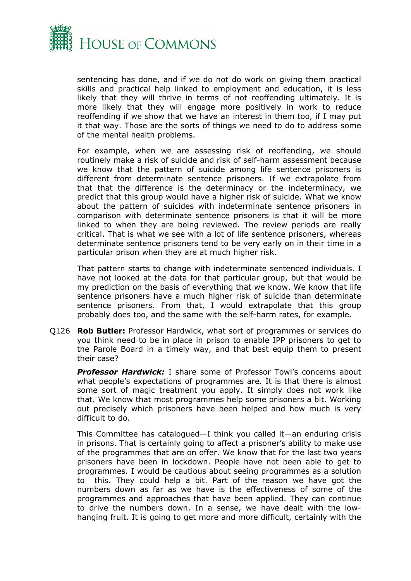

sentencing has done, and if we do not do work on giving them practical skills and practical help linked to employment and education, it is less likely that they will thrive in terms of not reoffending ultimately. It is more likely that they will engage more positively in work to reduce reoffending if we show that we have an interest in them too, if I may put it that way. Those are the sorts of things we need to do to address some of the mental health problems.

For example, when we are assessing risk of reoffending, we should routinely make a risk of suicide and risk of self-harm assessment because we know that the pattern of suicide among life sentence prisoners is different from determinate sentence prisoners. If we extrapolate from that that the difference is the determinacy or the indeterminacy, we predict that this group would have a higher risk of suicide. What we know about the pattern of suicides with indeterminate sentence prisoners in comparison with determinate sentence prisoners is that it will be more linked to when they are being reviewed. The review periods are really critical. That is what we see with a lot of life sentence prisoners, whereas determinate sentence prisoners tend to be very early on in their time in a particular prison when they are at much higher risk.

That pattern starts to change with indeterminate sentenced individuals. I have not looked at the data for that particular group, but that would be my prediction on the basis of everything that we know. We know that life sentence prisoners have a much higher risk of suicide than determinate sentence prisoners. From that, I would extrapolate that this group probably does too, and the same with the self-harm rates, for example.

Q126 **Rob Butler:** Professor Hardwick, what sort of programmes or services do you think need to be in place in prison to enable IPP prisoners to get to the Parole Board in a timely way, and that best equip them to present their case?

*Professor Hardwick:* I share some of Professor Towl's concerns about what people's expectations of programmes are. It is that there is almost some sort of magic treatment you apply. It simply does not work like that. We know that most programmes help some prisoners a bit. Working out precisely which prisoners have been helped and how much is very difficult to do.

This Committee has catalogued—I think you called it—an enduring crisis in prisons. That is certainly going to affect a prisoner's ability to make use of the programmes that are on offer. We know that for the last two years prisoners have been in lockdown. People have not been able to get to programmes. I would be cautious about seeing programmes as a solution to this. They could help a bit. Part of the reason we have got the numbers down as far as we have is the effectiveness of some of the programmes and approaches that have been applied. They can continue to drive the numbers down. In a sense, we have dealt with the lowhanging fruit. It is going to get more and more difficult, certainly with the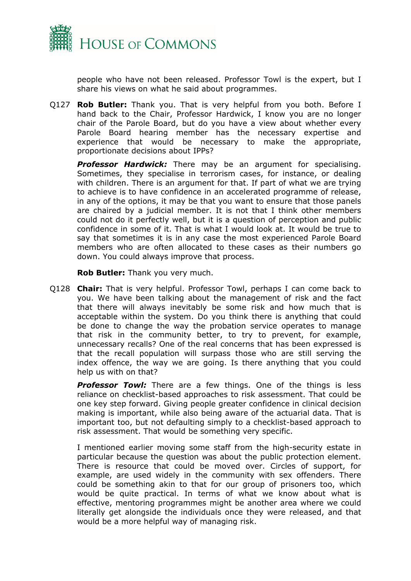

people who have not been released. Professor Towl is the expert, but I share his views on what he said about programmes.

Q127 **Rob Butler:** Thank you. That is very helpful from you both. Before I hand back to the Chair, Professor Hardwick, I know you are no longer chair of the Parole Board, but do you have a view about whether every Parole Board hearing member has the necessary expertise and experience that would be necessary to make the appropriate, proportionate decisions about IPPs?

*Professor Hardwick:* There may be an argument for specialising. Sometimes, they specialise in terrorism cases, for instance, or dealing with children. There is an argument for that. If part of what we are trying to achieve is to have confidence in an accelerated programme of release, in any of the options, it may be that you want to ensure that those panels are chaired by a judicial member. It is not that I think other members could not do it perfectly well, but it is a question of perception and public confidence in some of it. That is what I would look at. It would be true to say that sometimes it is in any case the most experienced Parole Board members who are often allocated to these cases as their numbers go down. You could always improve that process.

**Rob Butler:** Thank you very much.

Q128 **Chair:** That is very helpful. Professor Towl, perhaps I can come back to you. We have been talking about the management of risk and the fact that there will always inevitably be some risk and how much that is acceptable within the system. Do you think there is anything that could be done to change the way the probation service operates to manage that risk in the community better, to try to prevent, for example, unnecessary recalls? One of the real concerns that has been expressed is that the recall population will surpass those who are still serving the index offence, the way we are going. Is there anything that you could help us with on that?

**Professor Towl:** There are a few things. One of the things is less reliance on checklist-based approaches to risk assessment. That could be one key step forward. Giving people greater confidence in clinical decision making is important, while also being aware of the actuarial data. That is important too, but not defaulting simply to a checklist-based approach to risk assessment. That would be something very specific.

I mentioned earlier moving some staff from the high-security estate in particular because the question was about the public protection element. There is resource that could be moved over. Circles of support, for example, are used widely in the community with sex offenders. There could be something akin to that for our group of prisoners too, which would be quite practical. In terms of what we know about what is effective, mentoring programmes might be another area where we could literally get alongside the individuals once they were released, and that would be a more helpful way of managing risk.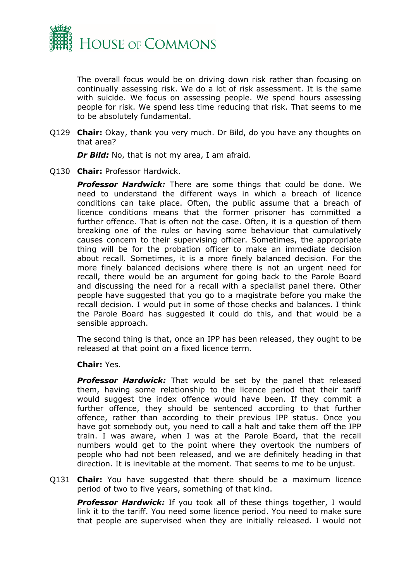

The overall focus would be on driving down risk rather than focusing on continually assessing risk. We do a lot of risk assessment. It is the same with suicide. We focus on assessing people. We spend hours assessing people for risk. We spend less time reducing that risk. That seems to me to be absolutely fundamental.

Q129 **Chair:** Okay, thank you very much. Dr Bild, do you have any thoughts on that area?

*Dr Bild:* No, that is not my area, I am afraid.

Q130 **Chair:** Professor Hardwick.

*Professor Hardwick:* There are some things that could be done. We need to understand the different ways in which a breach of licence conditions can take place. Often, the public assume that a breach of licence conditions means that the former prisoner has committed a further offence. That is often not the case. Often, it is a question of them breaking one of the rules or having some behaviour that cumulatively causes concern to their supervising officer. Sometimes, the appropriate thing will be for the probation officer to make an immediate decision about recall. Sometimes, it is a more finely balanced decision. For the more finely balanced decisions where there is not an urgent need for recall, there would be an argument for going back to the Parole Board and discussing the need for a recall with a specialist panel there. Other people have suggested that you go to a magistrate before you make the recall decision. I would put in some of those checks and balances. I think the Parole Board has suggested it could do this, and that would be a sensible approach.

The second thing is that, once an IPP has been released, they ought to be released at that point on a fixed licence term.

#### **Chair:** Yes.

*Professor Hardwick:* That would be set by the panel that released them, having some relationship to the licence period that their tariff would suggest the index offence would have been. If they commit a further offence, they should be sentenced according to that further offence, rather than according to their previous IPP status. Once you have got somebody out, you need to call a halt and take them off the IPP train. I was aware, when I was at the Parole Board, that the recall numbers would get to the point where they overtook the numbers of people who had not been released, and we are definitely heading in that direction. It is inevitable at the moment. That seems to me to be unjust.

Q131 **Chair:** You have suggested that there should be a maximum licence period of two to five years, something of that kind.

*Professor Hardwick:* If you took all of these things together, I would link it to the tariff. You need some licence period. You need to make sure that people are supervised when they are initially released. I would not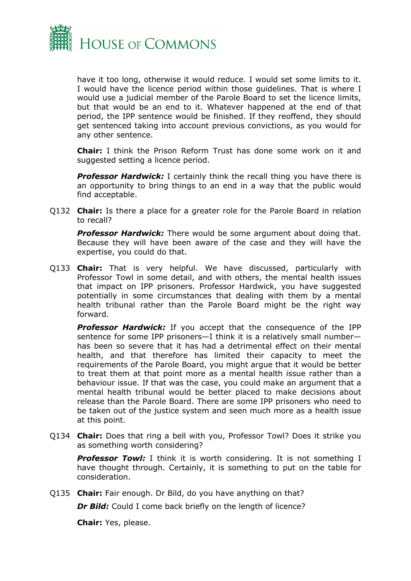

have it too long, otherwise it would reduce. I would set some limits to it. I would have the licence period within those guidelines. That is where I would use a judicial member of the Parole Board to set the licence limits, but that would be an end to it. Whatever happened at the end of that period, the IPP sentence would be finished. If they reoffend, they should get sentenced taking into account previous convictions, as you would for any other sentence.

**Chair:** I think the Prison Reform Trust has done some work on it and suggested setting a licence period.

**Professor Hardwick:** I certainly think the recall thing you have there is an opportunity to bring things to an end in a way that the public would find acceptable.

Q132 **Chair:** Is there a place for a greater role for the Parole Board in relation to recall?

*Professor Hardwick:* There would be some argument about doing that. Because they will have been aware of the case and they will have the expertise, you could do that.

Q133 **Chair:** That is very helpful. We have discussed, particularly with Professor Towl in some detail, and with others, the mental health issues that impact on IPP prisoners. Professor Hardwick, you have suggested potentially in some circumstances that dealing with them by a mental health tribunal rather than the Parole Board might be the right way forward.

*Professor Hardwick:* If you accept that the consequence of the IPP sentence for some IPP prisoners—I think it is a relatively small number has been so severe that it has had a detrimental effect on their mental health, and that therefore has limited their capacity to meet the requirements of the Parole Board, you might argue that it would be better to treat them at that point more as a mental health issue rather than a behaviour issue. If that was the case, you could make an argument that a mental health tribunal would be better placed to make decisions about release than the Parole Board. There are some IPP prisoners who need to be taken out of the justice system and seen much more as a health issue at this point.

Q134 **Chair:** Does that ring a bell with you, Professor Towl? Does it strike you as something worth considering?

*Professor Towl:* I think it is worth considering. It is not something I have thought through. Certainly, it is something to put on the table for consideration.

Q135 **Chair:** Fair enough. Dr Bild, do you have anything on that?

**Dr Bild:** Could I come back briefly on the length of licence?

**Chair:** Yes, please.